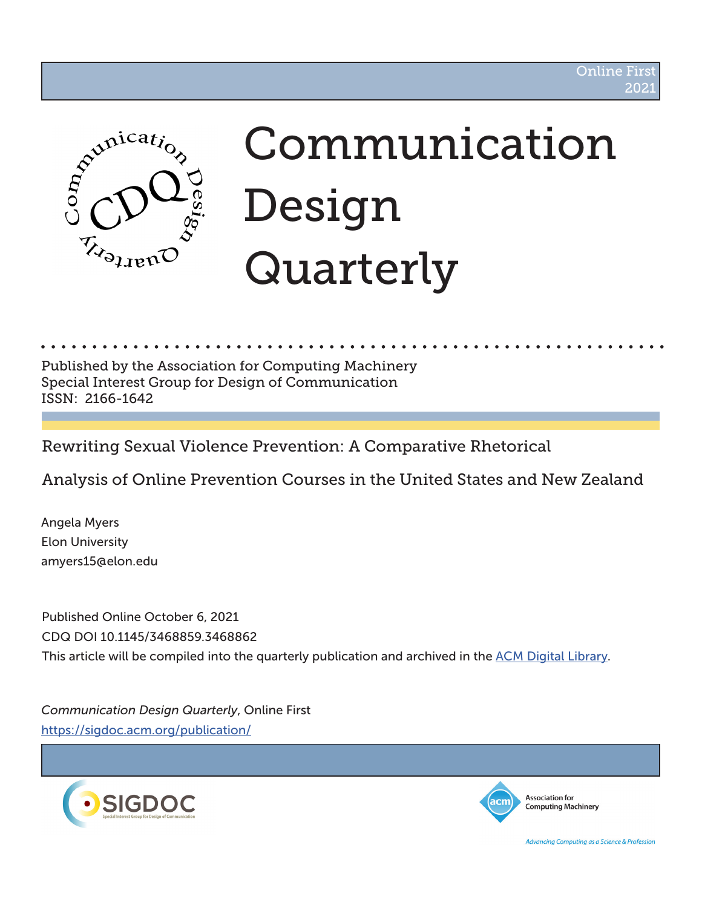

# Communication Design Quarterly

Published by the Association for Computing Machinery Special Interest Group for Design of Communication ISSN: 2166-1642

Rewriting Sexual Violence Prevention: A Comparative Rhetorical

Analysis of Online Prevention Courses in the United States and New Zealand

Angela Myers Elon University amyers15@elon.edu

Published Online October 6, 2021 CDQ DOI 10.1145/3468859.3468862 This article will be compiled into the quarterly publication and archived in the ACM Digital Library.

*Communication Design Quarterly*, Online First https://sigdoc.acm.org/publication/





**Association for Computing Machinery** 

Advancing Computing as a Science & Profession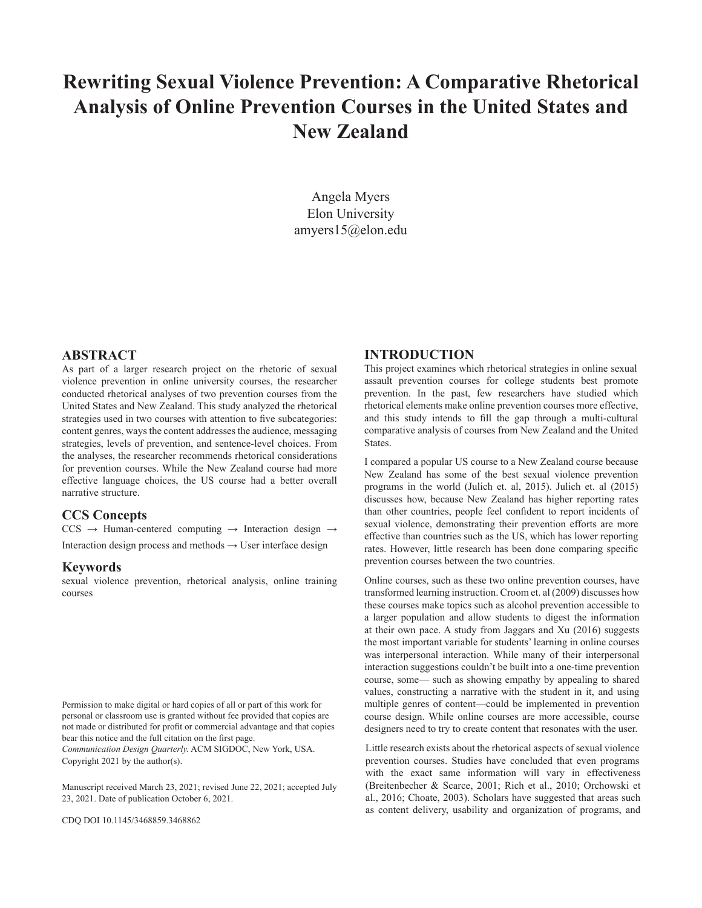## **Rewriting Sexual Violence Prevention: A Comparative Rhetorical Analysis of Online Prevention Courses in the United States and New Zealand**

Angela Myers Elon University amyers15@elon.edu

#### **ABSTRACT**

As part of a larger research project on the rhetoric of sexual violence prevention in online university courses, the researcher conducted rhetorical analyses of two prevention courses from the United States and New Zealand. This study analyzed the rhetorical strategies used in two courses with attention to five subcategories: content genres, ways the content addresses the audience, messaging strategies, levels of prevention, and sentence-level choices. From the analyses, the researcher recommends rhetorical considerations for prevention courses. While the New Zealand course had more effective language choices, the US course had a better overall narrative structure.

#### **CCS Concepts**

 $CCS \rightarrow Human-centered computing \rightarrow International design \rightarrow$ 

Interaction design process and methods  $\rightarrow$  User interface design

#### **Keywords**

sexual violence prevention, rhetorical analysis, online training courses

Permission to make digital or hard copies of all or part of this work for personal or classroom use is granted without fee provided that copies are not made or distributed for profit or commercial advantage and that copies bear this notice and the full citation on the first page.

*Communication Design Quarterly.* ACM SIGDOC, New York, USA. Copyright 2021 by the author(s).

Manuscript received March 23, 2021; revised June 22, 2021; accepted July 23, 2021. Date of publication October 6, 2021.

CDQ DOI 10.1145/3468859.3468862

## **INTRODUCTION**

This project examines which rhetorical strategies in online sexual assault prevention courses for college students best promote prevention. In the past, few researchers have studied which rhetorical elements make online prevention courses more effective, and this study intends to fill the gap through a multi-cultural comparative analysis of courses from New Zealand and the United States.

I compared a popular US course to a New Zealand course because New Zealand has some of the best sexual violence prevention programs in the world (Julich et. al, 2015). Julich et. al (2015) discusses how, because New Zealand has higher reporting rates than other countries, people feel confident to report incidents of sexual violence, demonstrating their prevention efforts are more effective than countries such as the US, which has lower reporting rates. However, little research has been done comparing specific prevention courses between the two countries.

Online courses, such as these two online prevention courses, have transformed learning instruction. Croom et. al (2009) discusses how these courses make topics such as alcohol prevention accessible to a larger population and allow students to digest the information at their own pace. A study from Jaggars and Xu (2016) suggests the most important variable for students' learning in online courses was interpersonal interaction. While many of their interpersonal interaction suggestions couldn't be built into a one-time prevention course, some— such as showing empathy by appealing to shared values, constructing a narrative with the student in it, and using multiple genres of content—could be implemented in prevention course design. While online courses are more accessible, course designers need to try to create content that resonates with the user.

Little research exists about the rhetorical aspects of sexual violence prevention courses. Studies have concluded that even programs with the exact same information will vary in effectiveness (Breitenbecher & Scarce, 2001; Rich et al., 2010; Orchowski et al., 2016; Choate, 2003). Scholars have suggested that areas such as content delivery, usability and organization of programs, and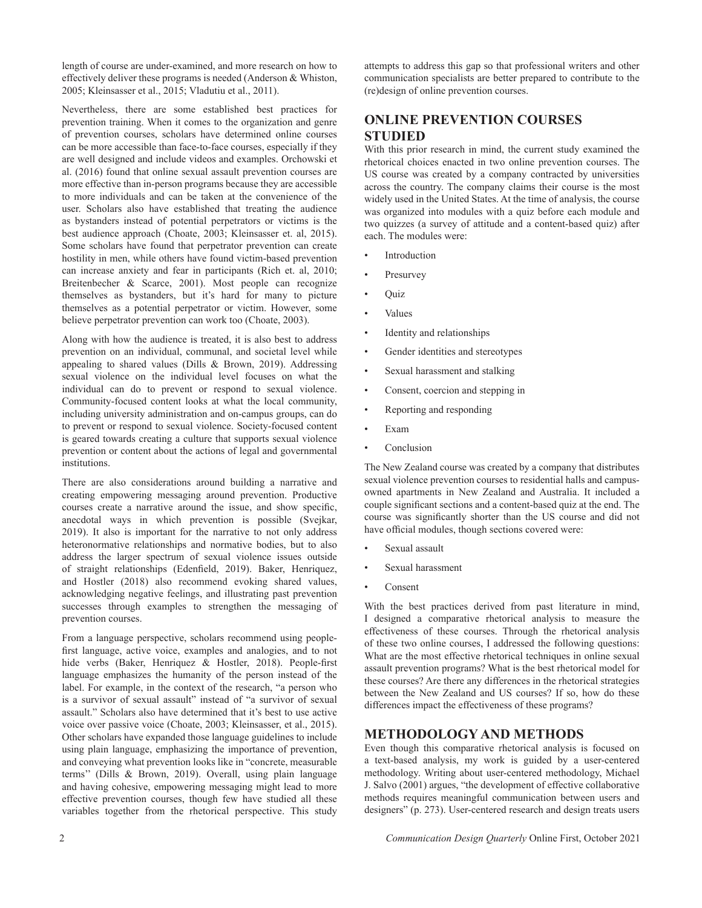length of course are under-examined, and more research on how to effectively deliver these programs is needed (Anderson & Whiston, 2005; Kleinsasser et al., 2015; Vladutiu et al., 2011).

Nevertheless, there are some established best practices for prevention training. When it comes to the organization and genre of prevention courses, scholars have determined online courses can be more accessible than face-to-face courses, especially if they are well designed and include videos and examples. Orchowski et al. (2016) found that online sexual assault prevention courses are more effective than in-person programs because they are accessible to more individuals and can be taken at the convenience of the user. Scholars also have established that treating the audience as bystanders instead of potential perpetrators or victims is the best audience approach (Choate, 2003; Kleinsasser et. al, 2015). Some scholars have found that perpetrator prevention can create hostility in men, while others have found victim-based prevention can increase anxiety and fear in participants (Rich et. al, 2010; Breitenbecher & Scarce, 2001). Most people can recognize themselves as bystanders, but it's hard for many to picture themselves as a potential perpetrator or victim. However, some believe perpetrator prevention can work too (Choate, 2003).

Along with how the audience is treated, it is also best to address prevention on an individual, communal, and societal level while appealing to shared values (Dills & Brown, 2019). Addressing sexual violence on the individual level focuses on what the individual can do to prevent or respond to sexual violence. Community-focused content looks at what the local community, including university administration and on-campus groups, can do to prevent or respond to sexual violence. Society-focused content is geared towards creating a culture that supports sexual violence prevention or content about the actions of legal and governmental institutions.

There are also considerations around building a narrative and creating empowering messaging around prevention. Productive courses create a narrative around the issue, and show specific, anecdotal ways in which prevention is possible (Svejkar, 2019). It also is important for the narrative to not only address heteronormative relationships and normative bodies, but to also address the larger spectrum of sexual violence issues outside of straight relationships (Edenfield, 2019). Baker, Henriquez, and Hostler (2018) also recommend evoking shared values, acknowledging negative feelings, and illustrating past prevention successes through examples to strengthen the messaging of prevention courses.

From a language perspective, scholars recommend using peoplefirst language, active voice, examples and analogies, and to not hide verbs (Baker, Henriquez & Hostler, 2018). People-first language emphasizes the humanity of the person instead of the label. For example, in the context of the research, "a person who is a survivor of sexual assault" instead of "a survivor of sexual assault." Scholars also have determined that it's best to use active voice over passive voice (Choate, 2003; Kleinsasser, et al., 2015). Other scholars have expanded those language guidelines to include using plain language, emphasizing the importance of prevention, and conveying what prevention looks like in "concrete, measurable terms'' (Dills & Brown, 2019). Overall, using plain language and having cohesive, empowering messaging might lead to more effective prevention courses, though few have studied all these variables together from the rhetorical perspective. This study

attempts to address this gap so that professional writers and other communication specialists are better prepared to contribute to the (re)design of online prevention courses.

## **ONLINE PREVENTION COURSES STUDIED**

With this prior research in mind, the current study examined the rhetorical choices enacted in two online prevention courses. The US course was created by a company contracted by universities across the country. The company claims their course is the most widely used in the United States. At the time of analysis, the course was organized into modules with a quiz before each module and two quizzes (a survey of attitude and a content-based quiz) after each. The modules were:

- **Introduction**
- **Presurvey**
- Quiz
- Values
- Identity and relationships
- Gender identities and stereotypes
- Sexual harassment and stalking
- Consent, coercion and stepping in
- Reporting and responding
- Exam
- **Conclusion**

The New Zealand course was created by a company that distributes sexual violence prevention courses to residential halls and campusowned apartments in New Zealand and Australia. It included a couple significant sections and a content-based quiz at the end. The course was significantly shorter than the US course and did not have official modules, though sections covered were:

- Sexual assault
- Sexual harassment
- **Consent**

With the best practices derived from past literature in mind, I designed a comparative rhetorical analysis to measure the effectiveness of these courses. Through the rhetorical analysis of these two online courses, I addressed the following questions: What are the most effective rhetorical techniques in online sexual assault prevention programs? What is the best rhetorical model for these courses? Are there any differences in the rhetorical strategies between the New Zealand and US courses? If so, how do these differences impact the effectiveness of these programs?

## **METHODOLOGY AND METHODS**

Even though this comparative rhetorical analysis is focused on a text-based analysis, my work is guided by a user-centered methodology. Writing about user-centered methodology, Michael J. Salvo (2001) argues, "the development of effective collaborative methods requires meaningful communication between users and designers" (p. 273). User-centered research and design treats users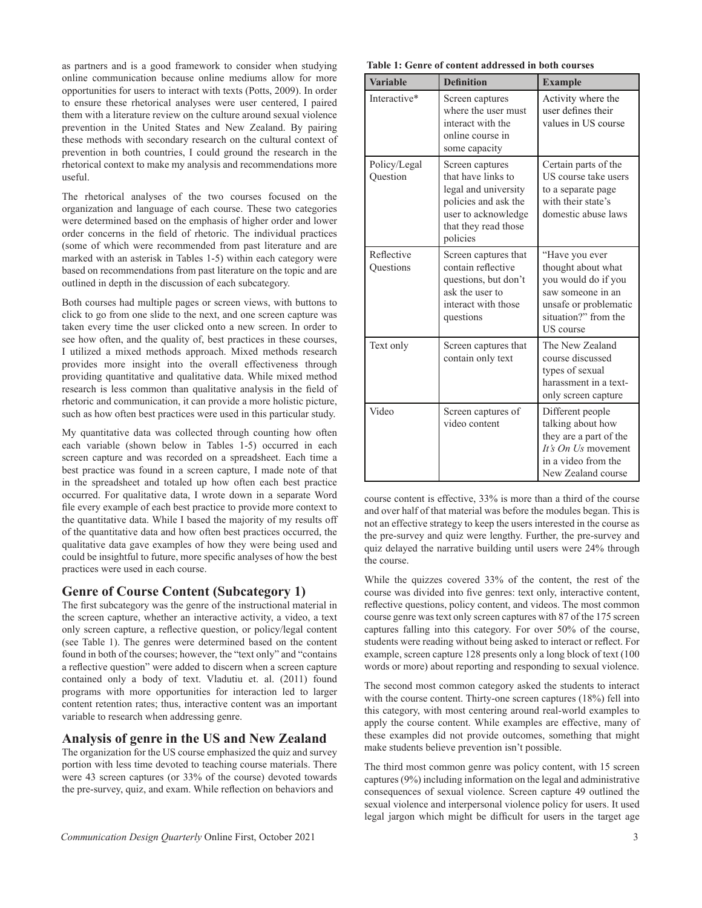as partners and is a good framework to consider when studying online communication because online mediums allow for more opportunities for users to interact with texts (Potts, 2009). In order to ensure these rhetorical analyses were user centered, I paired them with a literature review on the culture around sexual violence prevention in the United States and New Zealand. By pairing these methods with secondary research on the cultural context of prevention in both countries, I could ground the research in the rhetorical context to make my analysis and recommendations more useful.

The rhetorical analyses of the two courses focused on the organization and language of each course. These two categories were determined based on the emphasis of higher order and lower order concerns in the field of rhetoric. The individual practices (some of which were recommended from past literature and are marked with an asterisk in Tables 1-5) within each category were based on recommendations from past literature on the topic and are outlined in depth in the discussion of each subcategory.

Both courses had multiple pages or screen views, with buttons to click to go from one slide to the next, and one screen capture was taken every time the user clicked onto a new screen. In order to see how often, and the quality of, best practices in these courses, I utilized a mixed methods approach. Mixed methods research provides more insight into the overall effectiveness through providing quantitative and qualitative data. While mixed method research is less common than qualitative analysis in the field of rhetoric and communication, it can provide a more holistic picture, such as how often best practices were used in this particular study.

My quantitative data was collected through counting how often each variable (shown below in Tables 1-5) occurred in each screen capture and was recorded on a spreadsheet. Each time a best practice was found in a screen capture, I made note of that in the spreadsheet and totaled up how often each best practice occurred. For qualitative data, I wrote down in a separate Word file every example of each best practice to provide more context to the quantitative data. While I based the majority of my results off of the quantitative data and how often best practices occurred, the qualitative data gave examples of how they were being used and could be insightful to future, more specific analyses of how the best practices were used in each course.

### **Genre of Course Content (Subcategory 1)**

The first subcategory was the genre of the instructional material in the screen capture, whether an interactive activity, a video, a text only screen capture, a reflective question, or policy/legal content (see Table 1). The genres were determined based on the content found in both of the courses; however, the "text only" and "contains a reflective question" were added to discern when a screen capture contained only a body of text. Vladutiu et. al. (2011) found programs with more opportunities for interaction led to larger content retention rates; thus, interactive content was an important variable to research when addressing genre.

## **Analysis of genre in the US and New Zealand**

The organization for the US course emphasized the quiz and survey portion with less time devoted to teaching course materials. There were 43 screen captures (or 33% of the course) devoted towards the pre-survey, quiz, and exam. While reflection on behaviors and

 **Table 1: Genre of content addressed in both courses** 

| <b>Variable</b>          | <b>Definition</b>                                                                                                                                | <b>Example</b>                                                                                                                                        |
|--------------------------|--------------------------------------------------------------------------------------------------------------------------------------------------|-------------------------------------------------------------------------------------------------------------------------------------------------------|
| Interactive*             | Screen captures<br>where the user must<br>interact with the<br>online course in<br>some capacity                                                 | Activity where the<br>user defines their<br>values in US course                                                                                       |
| Policy/Legal<br>Question | Screen captures<br>that have links to<br>legal and university<br>policies and ask the<br>user to acknowledge<br>that they read those<br>policies | Certain parts of the<br>US course take users<br>to a separate page<br>with their state's<br>domestic abuse laws                                       |
| Reflective<br>Ouestions  | Screen captures that<br>contain reflective<br>questions, but don't<br>ask the user to<br>interact with those<br>questions                        | "Have you ever<br>thought about what<br>you would do if you<br>saw someone in an<br>unsafe or problematic<br>situation?" from the<br><b>US</b> course |
| Text only                | Screen captures that<br>contain only text                                                                                                        | The New Zealand<br>course discussed<br>types of sexual<br>harassment in a text-<br>only screen capture                                                |
| Video                    | Screen captures of<br>video content                                                                                                              | Different people<br>talking about how<br>they are a part of the<br>It's $On$ Us movement<br>in a video from the<br>New Zealand course                 |

course content is effective, 33% is more than a third of the course and over half of that material was before the modules began. This is not an effective strategy to keep the users interested in the course as the pre-survey and quiz were lengthy. Further, the pre-survey and quiz delayed the narrative building until users were 24% through the course.

While the quizzes covered 33% of the content, the rest of the course was divided into five genres: text only, interactive content, reflective questions, policy content, and videos. The most common course genre was text only screen captures with 87 of the 175 screen captures falling into this category. For over 50% of the course, students were reading without being asked to interact or reflect. For example, screen capture 128 presents only a long block of text (100 words or more) about reporting and responding to sexual violence.

The second most common category asked the students to interact with the course content. Thirty-one screen captures (18%) fell into this category, with most centering around real-world examples to apply the course content. While examples are effective, many of these examples did not provide outcomes, something that might make students believe prevention isn't possible.

The third most common genre was policy content, with 15 screen captures (9%) including information on the legal and administrative consequences of sexual violence. Screen capture 49 outlined the sexual violence and interpersonal violence policy for users. It used legal jargon which might be difficult for users in the target age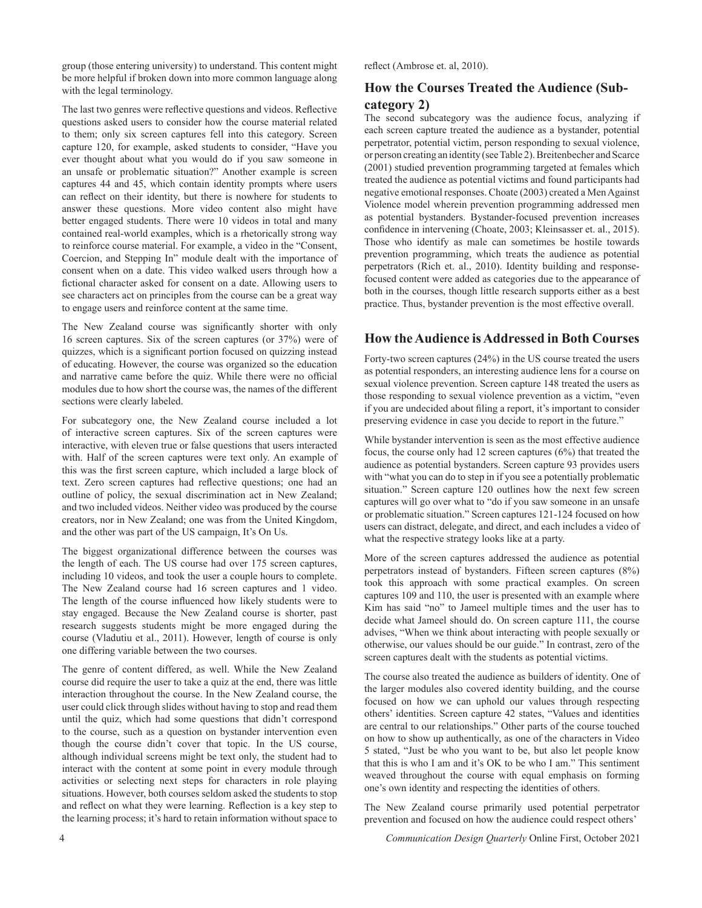group (those entering university) to understand. This content might be more helpful if broken down into more common language along with the legal terminology.

The last two genres were reflective questions and videos. Reflective questions asked users to consider how the course material related to them; only six screen captures fell into this category. Screen capture 120, for example, asked students to consider, "Have you ever thought about what you would do if you saw someone in an unsafe or problematic situation?" Another example is screen captures 44 and 45, which contain identity prompts where users can reflect on their identity, but there is nowhere for students to answer these questions. More video content also might have better engaged students. There were 10 videos in total and many contained real-world examples, which is a rhetorically strong way to reinforce course material. For example, a video in the "Consent, Coercion, and Stepping In" module dealt with the importance of consent when on a date. This video walked users through how a fictional character asked for consent on a date. Allowing users to see characters act on principles from the course can be a great way to engage users and reinforce content at the same time.

The New Zealand course was significantly shorter with only 16 screen captures. Six of the screen captures (or 37%) were of quizzes, which is a significant portion focused on quizzing instead of educating. However, the course was organized so the education and narrative came before the quiz. While there were no official modules due to how short the course was, the names of the different sections were clearly labeled.

For subcategory one, the New Zealand course included a lot of interactive screen captures. Six of the screen captures were interactive, with eleven true or false questions that users interacted with. Half of the screen captures were text only. An example of this was the first screen capture, which included a large block of text. Zero screen captures had reflective questions; one had an outline of policy, the sexual discrimination act in New Zealand; and two included videos. Neither video was produced by the course creators, nor in New Zealand; one was from the United Kingdom, and the other was part of the US campaign, It's On Us.

The biggest organizational difference between the courses was the length of each. The US course had over 175 screen captures, including 10 videos, and took the user a couple hours to complete. The New Zealand course had 16 screen captures and 1 video. The length of the course influenced how likely students were to stay engaged. Because the New Zealand course is shorter, past research suggests students might be more engaged during the course (Vladutiu et al., 2011). However, length of course is only one differing variable between the two courses.

The genre of content differed, as well. While the New Zealand course did require the user to take a quiz at the end, there was little interaction throughout the course. In the New Zealand course, the user could click through slides without having to stop and read them until the quiz, which had some questions that didn't correspond to the course, such as a question on bystander intervention even though the course didn't cover that topic. In the US course, although individual screens might be text only, the student had to interact with the content at some point in every module through activities or selecting next steps for characters in role playing situations. However, both courses seldom asked the students to stop and reflect on what they were learning. Reflection is a key step to the learning process; it's hard to retain information without space to

reflect (Ambrose et. al, 2010).

## **How the Courses Treated the Audience (Subcategory 2)**

The second subcategory was the audience focus, analyzing if each screen capture treated the audience as a bystander, potential perpetrator, potential victim, person responding to sexual violence, or person creating an identity (see Table 2). Breitenbecher and Scarce (2001) studied prevention programming targeted at females which treated the audience as potential victims and found participants had negative emotional responses. Choate (2003) created a Men Against Violence model wherein prevention programming addressed men as potential bystanders. Bystander-focused prevention increases confidence in intervening (Choate, 2003; Kleinsasser et. al., 2015). Those who identify as male can sometimes be hostile towards prevention programming, which treats the audience as potential perpetrators (Rich et. al., 2010). Identity building and responsefocused content were added as categories due to the appearance of both in the courses, though little research supports either as a best practice. Thus, bystander prevention is the most effective overall.

## **How the Audience is Addressed in Both Courses**

Forty-two screen captures (24%) in the US course treated the users as potential responders, an interesting audience lens for a course on sexual violence prevention. Screen capture 148 treated the users as those responding to sexual violence prevention as a victim, "even if you are undecided about filing a report, it's important to consider preserving evidence in case you decide to report in the future."

While bystander intervention is seen as the most effective audience focus, the course only had 12 screen captures (6%) that treated the audience as potential bystanders. Screen capture 93 provides users with "what you can do to step in if you see a potentially problematic situation." Screen capture 120 outlines how the next few screen captures will go over what to "do if you saw someone in an unsafe or problematic situation." Screen captures 121-124 focused on how users can distract, delegate, and direct, and each includes a video of what the respective strategy looks like at a party.

More of the screen captures addressed the audience as potential perpetrators instead of bystanders. Fifteen screen captures (8%) took this approach with some practical examples. On screen captures 109 and 110, the user is presented with an example where Kim has said "no" to Jameel multiple times and the user has to decide what Jameel should do. On screen capture 111, the course advises, "When we think about interacting with people sexually or otherwise, our values should be our guide." In contrast, zero of the screen captures dealt with the students as potential victims.

The course also treated the audience as builders of identity. One of the larger modules also covered identity building, and the course focused on how we can uphold our values through respecting others' identities. Screen capture 42 states, "Values and identities are central to our relationships." Other parts of the course touched on how to show up authentically, as one of the characters in Video 5 stated, "Just be who you want to be, but also let people know that this is who I am and it's OK to be who I am." This sentiment weaved throughout the course with equal emphasis on forming one's own identity and respecting the identities of others.

The New Zealand course primarily used potential perpetrator prevention and focused on how the audience could respect others'

4 *Communication Design Quarterly* Online First, October 2021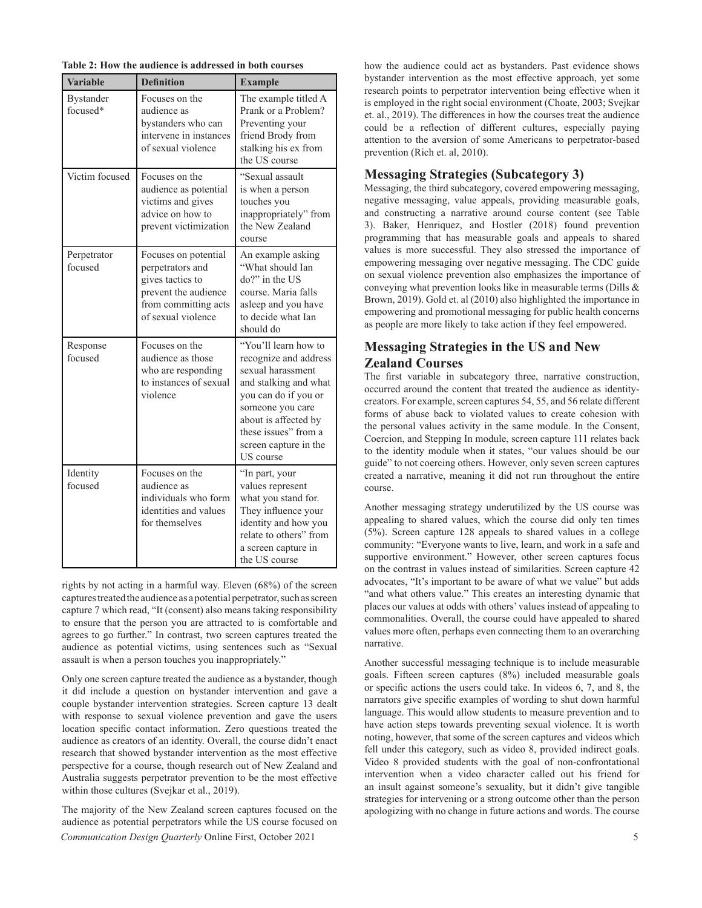| Table 2: How the audience is addressed in both courses |  |
|--------------------------------------------------------|--|
|--------------------------------------------------------|--|

| <b>Variable</b>              | <b>Definition</b>                                                                                                                  | <b>Example</b>                                                                                                                                                                                                                |  |  |
|------------------------------|------------------------------------------------------------------------------------------------------------------------------------|-------------------------------------------------------------------------------------------------------------------------------------------------------------------------------------------------------------------------------|--|--|
| <b>Bystander</b><br>focused* | Focuses on the<br>audience as<br>bystanders who can<br>intervene in instances<br>of sexual violence                                | The example titled A<br>Prank or a Problem?<br>Preventing your<br>friend Brody from<br>stalking his ex from<br>the US course                                                                                                  |  |  |
| Victim focused               | Focuses on the<br>audience as potential<br>victims and gives<br>advice on how to<br>prevent victimization                          | "Sexual assault<br>is when a person<br>touches you<br>inappropriately" from<br>the New Zealand<br>course                                                                                                                      |  |  |
| Perpetrator<br>focused       | Focuses on potential<br>perpetrators and<br>gives tactics to<br>prevent the audience<br>from committing acts<br>of sexual violence | An example asking<br>"What should Ian<br>do?" in the US<br>course. Maria falls<br>asleep and you have<br>to decide what Ian<br>should do                                                                                      |  |  |
| Response<br>focused          | Focuses on the<br>audience as those<br>who are responding<br>to instances of sexual<br>violence                                    | "You'll learn how to<br>recognize and address<br>sexual harassment<br>and stalking and what<br>you can do if you or<br>someone you care<br>about is affected by<br>these issues" from a<br>screen capture in the<br>US course |  |  |
| Identity<br>focused          | Focuses on the<br>audience as<br>individuals who form<br>identities and values<br>for themselves                                   | "In part, your<br>values represent<br>what you stand for.<br>They influence your<br>identity and how you<br>relate to others" from<br>a screen capture in<br>the US course                                                    |  |  |

rights by not acting in a harmful way. Eleven (68%) of the screen captures treated the audience as a potential perpetrator, such as screen capture 7 which read, "It (consent) also means taking responsibility to ensure that the person you are attracted to is comfortable and agrees to go further." In contrast, two screen captures treated the audience as potential victims, using sentences such as "Sexual assault is when a person touches you inappropriately."

Only one screen capture treated the audience as a bystander, though it did include a question on bystander intervention and gave a couple bystander intervention strategies. Screen capture 13 dealt with response to sexual violence prevention and gave the users location specific contact information. Zero questions treated the audience as creators of an identity. Overall, the course didn't enact research that showed bystander intervention as the most effective perspective for a course, though research out of New Zealand and Australia suggests perpetrator prevention to be the most effective within those cultures (Svejkar et al., 2019).

*Communication Design Quarterly* Online First, October 2021 5 The majority of the New Zealand screen captures focused on the audience as potential perpetrators while the US course focused on

how the audience could act as bystanders. Past evidence shows bystander intervention as the most effective approach, yet some research points to perpetrator intervention being effective when it is employed in the right social environment (Choate, 2003; Svejkar et. al., 2019). The differences in how the courses treat the audience could be a reflection of different cultures, especially paying attention to the aversion of some Americans to perpetrator-based prevention (Rich et. al, 2010).

### **Messaging Strategies (Subcategory 3)**

Messaging, the third subcategory, covered empowering messaging, negative messaging, value appeals, providing measurable goals, and constructing a narrative around course content (see Table 3). Baker, Henriquez, and Hostler (2018) found prevention programming that has measurable goals and appeals to shared values is more successful. They also stressed the importance of empowering messaging over negative messaging. The CDC guide on sexual violence prevention also emphasizes the importance of conveying what prevention looks like in measurable terms (Dills & Brown, 2019). Gold et. al (2010) also highlighted the importance in empowering and promotional messaging for public health concerns as people are more likely to take action if they feel empowered.

## **Messaging Strategies in the US and New Zealand Courses**

The first variable in subcategory three, narrative construction, occurred around the content that treated the audience as identitycreators. For example, screen captures 54, 55, and 56 relate different forms of abuse back to violated values to create cohesion with the personal values activity in the same module. In the Consent, Coercion, and Stepping In module, screen capture 111 relates back to the identity module when it states, "our values should be our guide" to not coercing others. However, only seven screen captures created a narrative, meaning it did not run throughout the entire course.

Another messaging strategy underutilized by the US course was appealing to shared values, which the course did only ten times (5%). Screen capture 128 appeals to shared values in a college community: "Everyone wants to live, learn, and work in a safe and supportive environment." However, other screen captures focus on the contrast in values instead of similarities. Screen capture 42 advocates, "It's important to be aware of what we value" but adds "and what others value." This creates an interesting dynamic that places our values at odds with others' values instead of appealing to commonalities. Overall, the course could have appealed to shared values more often, perhaps even connecting them to an overarching narrative.

Another successful messaging technique is to include measurable goals. Fifteen screen captures (8%) included measurable goals or specific actions the users could take. In videos 6, 7, and 8, the narrators give specific examples of wording to shut down harmful language. This would allow students to measure prevention and to have action steps towards preventing sexual violence. It is worth noting, however, that some of the screen captures and videos which fell under this category, such as video 8, provided indirect goals. Video 8 provided students with the goal of non-confrontational intervention when a video character called out his friend for an insult against someone's sexuality, but it didn't give tangible strategies for intervening or a strong outcome other than the person apologizing with no change in future actions and words. The course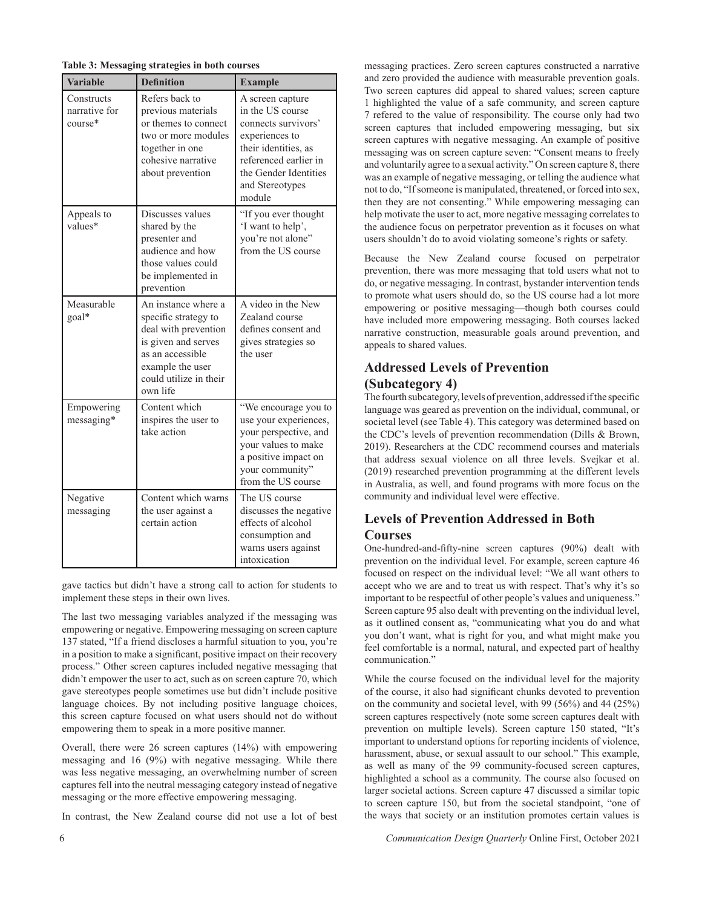|  | Table 3: Messaging strategies in both courses |  |  |  |  |
|--|-----------------------------------------------|--|--|--|--|
|--|-----------------------------------------------|--|--|--|--|

| <b>Variable</b>                          | <b>Definition</b>                                                                                                                                                        | <b>Example</b>                                                                                                                                                                       |  |  |
|------------------------------------------|--------------------------------------------------------------------------------------------------------------------------------------------------------------------------|--------------------------------------------------------------------------------------------------------------------------------------------------------------------------------------|--|--|
| Constructs<br>narrative for<br>$course*$ | Refers back to<br>previous materials<br>or themes to connect<br>two or more modules<br>together in one<br>cohesive narrative<br>about prevention                         | A screen capture<br>in the US course<br>connects survivors'<br>experiences to<br>their identities, as<br>referenced earlier in<br>the Gender Identities<br>and Stereotypes<br>module |  |  |
| Appeals to<br>values*                    | Discusses values<br>shared by the<br>presenter and<br>audience and how<br>those values could<br>be implemented in<br>prevention                                          | "If you ever thought<br>'I want to help',<br>you're not alone"<br>from the US course                                                                                                 |  |  |
| Measurable<br>goal*                      | An instance where a<br>specific strategy to<br>deal with prevention<br>is given and serves<br>as an accessible<br>example the user<br>could utilize in their<br>own life | A video in the New<br>Zealand course<br>defines consent and<br>gives strategies so<br>the user                                                                                       |  |  |
| Empowering<br>messaging*                 | Content which<br>inspires the user to<br>take action                                                                                                                     | "We encourage you to<br>use your experiences,<br>your perspective, and<br>your values to make<br>a positive impact on<br>your community"<br>from the US course                       |  |  |
| Negative<br>messaging                    | Content which warns<br>the user against a<br>certain action                                                                                                              | The US course<br>discusses the negative<br>effects of alcohol<br>consumption and<br>warns users against<br>intoxication                                                              |  |  |

gave tactics but didn't have a strong call to action for students to implement these steps in their own lives.

The last two messaging variables analyzed if the messaging was empowering or negative. Empowering messaging on screen capture 137 stated, "If a friend discloses a harmful situation to you, you're in a position to make a significant, positive impact on their recovery process." Other screen captures included negative messaging that didn't empower the user to act, such as on screen capture 70, which gave stereotypes people sometimes use but didn't include positive language choices. By not including positive language choices, this screen capture focused on what users should not do without empowering them to speak in a more positive manner.

Overall, there were 26 screen captures (14%) with empowering messaging and 16 (9%) with negative messaging. While there was less negative messaging, an overwhelming number of screen captures fell into the neutral messaging category instead of negative messaging or the more effective empowering messaging.

In contrast, the New Zealand course did not use a lot of best

messaging practices. Zero screen captures constructed a narrative and zero provided the audience with measurable prevention goals. Two screen captures did appeal to shared values; screen capture 1 highlighted the value of a safe community, and screen capture 7 refered to the value of responsibility. The course only had two screen captures that included empowering messaging, but six screen captures with negative messaging. An example of positive messaging was on screen capture seven: "Consent means to freely and voluntarily agree to a sexual activity." On screen capture 8, there was an example of negative messaging, or telling the audience what not to do, "If someone is manipulated, threatened, or forced into sex, then they are not consenting." While empowering messaging can help motivate the user to act, more negative messaging correlates to the audience focus on perpetrator prevention as it focuses on what users shouldn't do to avoid violating someone's rights or safety.

Because the New Zealand course focused on perpetrator prevention, there was more messaging that told users what not to do, or negative messaging. In contrast, bystander intervention tends to promote what users should do, so the US course had a lot more empowering or positive messaging—though both courses could have included more empowering messaging. Both courses lacked narrative construction, measurable goals around prevention, and appeals to shared values.

## **Addressed Levels of Prevention**

## **(Subcategory 4)**

The fourth subcategory, levels of prevention, addressed if the specific language was geared as prevention on the individual, communal, or societal level (see Table 4). This category was determined based on the CDC's levels of prevention recommendation (Dills & Brown, 2019). Researchers at the CDC recommend courses and materials that address sexual violence on all three levels. Svejkar et al. (2019) researched prevention programming at the different levels in Australia, as well, and found programs with more focus on the community and individual level were effective.

## **Levels of Prevention Addressed in Both**

### **Courses**

One-hundred-and-fifty-nine screen captures (90%) dealt with prevention on the individual level. For example, screen capture 46 focused on respect on the individual level: "We all want others to accept who we are and to treat us with respect. That's why it's so important to be respectful of other people's values and uniqueness." Screen capture 95 also dealt with preventing on the individual level, as it outlined consent as, "communicating what you do and what you don't want, what is right for you, and what might make you feel comfortable is a normal, natural, and expected part of healthy communication."

While the course focused on the individual level for the majority of the course, it also had significant chunks devoted to prevention on the community and societal level, with 99 (56%) and 44 (25%) screen captures respectively (note some screen captures dealt with prevention on multiple levels). Screen capture 150 stated, "It's important to understand options for reporting incidents of violence, harassment, abuse, or sexual assault to our school." This example, as well as many of the 99 community-focused screen captures, highlighted a school as a community. The course also focused on larger societal actions. Screen capture 47 discussed a similar topic to screen capture 150, but from the societal standpoint, "one of the ways that society or an institution promotes certain values is

6 *Communication Design Quarterly* Online First, October 2021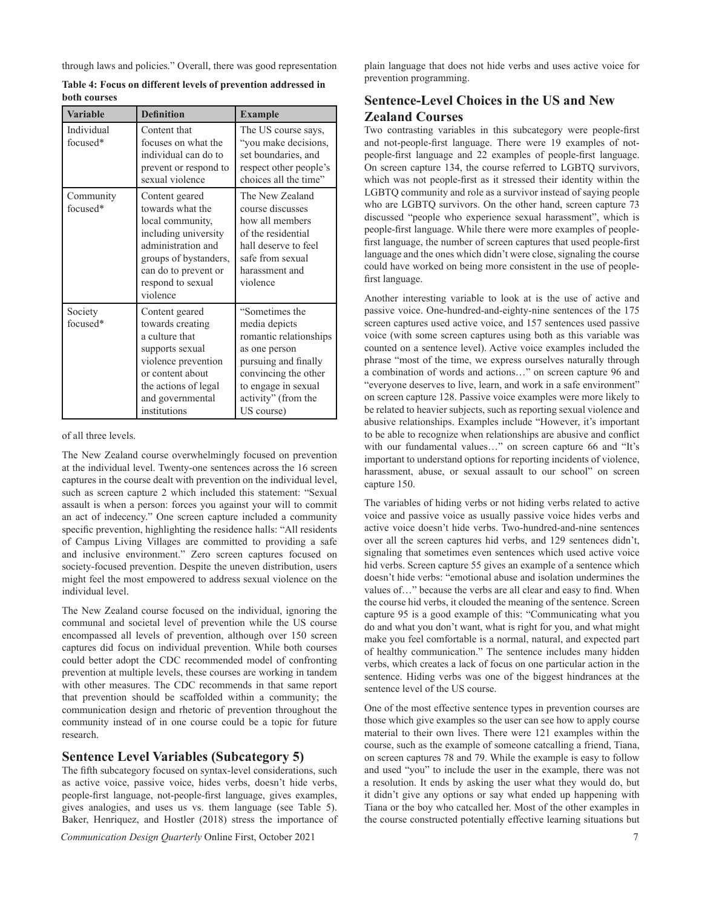through laws and policies." Overall, there was good representation

| <b>Variable</b>        | <b>Definition</b>                                                                                                                                                                      | <b>Example</b>                                                                                                                                                                         |
|------------------------|----------------------------------------------------------------------------------------------------------------------------------------------------------------------------------------|----------------------------------------------------------------------------------------------------------------------------------------------------------------------------------------|
| Individual<br>focused* | Content that<br>focuses on what the<br>individual can do to<br>prevent or respond to<br>sexual violence                                                                                | The US course says,<br>"you make decisions,<br>set boundaries, and<br>respect other people's<br>choices all the time"                                                                  |
| Community<br>focused*  | Content geared<br>towards what the<br>local community,<br>including university<br>administration and<br>groups of bystanders,<br>can do to prevent or<br>respond to sexual<br>violence | The New Zealand<br>course discusses<br>how all members<br>of the residential<br>hall deserve to feel<br>safe from sexual<br>harassment and<br>violence                                 |
| Society<br>focused*    | Content geared<br>towards creating<br>a culture that<br>supports sexual<br>violence prevention<br>or content about<br>the actions of legal<br>and governmental<br>institutions         | "Sometimes the<br>media depicts<br>romantic relationships<br>as one person<br>pursuing and finally<br>convincing the other<br>to engage in sexual<br>activity" (from the<br>US course) |

**Table 4: Focus on different levels of prevention addressed in both courses**

#### of all three levels.

The New Zealand course overwhelmingly focused on prevention at the individual level. Twenty-one sentences across the 16 screen captures in the course dealt with prevention on the individual level, such as screen capture 2 which included this statement: "Sexual assault is when a person: forces you against your will to commit an act of indecency." One screen capture included a community specific prevention, highlighting the residence halls: "All residents of Campus Living Villages are committed to providing a safe and inclusive environment." Zero screen captures focused on society-focused prevention. Despite the uneven distribution, users might feel the most empowered to address sexual violence on the individual level.

The New Zealand course focused on the individual, ignoring the communal and societal level of prevention while the US course encompassed all levels of prevention, although over 150 screen captures did focus on individual prevention. While both courses could better adopt the CDC recommended model of confronting prevention at multiple levels, these courses are working in tandem with other measures. The CDC recommends in that same report that prevention should be scaffolded within a community; the communication design and rhetoric of prevention throughout the community instead of in one course could be a topic for future research.

### **Sentence Level Variables (Subcategory 5)**

The fifth subcategory focused on syntax-level considerations, such as active voice, passive voice, hides verbs, doesn't hide verbs, people-first language, not-people-first language, gives examples, gives analogies, and uses us vs. them language (see Table 5). Baker, Henriquez, and Hostler (2018) stress the importance of

*Communication Design Quarterly* Online First, October 2021 7

plain language that does not hide verbs and uses active voice for prevention programming.

## **Sentence-Level Choices in the US and New Zealand Courses**

Two contrasting variables in this subcategory were people-first and not-people-first language. There were 19 examples of notpeople-first language and 22 examples of people-first language. On screen capture 134, the course referred to LGBTQ survivors, which was not people-first as it stressed their identity within the LGBTQ community and role as a survivor instead of saying people who are LGBTQ survivors. On the other hand, screen capture 73 discussed "people who experience sexual harassment", which is people-first language. While there were more examples of peoplefirst language, the number of screen captures that used people-first language and the ones which didn't were close, signaling the course could have worked on being more consistent in the use of peoplefirst language.

Another interesting variable to look at is the use of active and passive voice. One-hundred-and-eighty-nine sentences of the 175 screen captures used active voice, and 157 sentences used passive voice (with some screen captures using both as this variable was counted on a sentence level). Active voice examples included the phrase "most of the time, we express ourselves naturally through a combination of words and actions…" on screen capture 96 and "everyone deserves to live, learn, and work in a safe environment" on screen capture 128. Passive voice examples were more likely to be related to heavier subjects, such as reporting sexual violence and abusive relationships. Examples include "However, it's important to be able to recognize when relationships are abusive and conflict with our fundamental values…" on screen capture 66 and "It's important to understand options for reporting incidents of violence, harassment, abuse, or sexual assault to our school" on screen capture 150.

The variables of hiding verbs or not hiding verbs related to active voice and passive voice as usually passive voice hides verbs and active voice doesn't hide verbs. Two-hundred-and-nine sentences over all the screen captures hid verbs, and 129 sentences didn't, signaling that sometimes even sentences which used active voice hid verbs. Screen capture 55 gives an example of a sentence which doesn't hide verbs: "emotional abuse and isolation undermines the values of…" because the verbs are all clear and easy to find. When the course hid verbs, it clouded the meaning of the sentence. Screen capture 95 is a good example of this: "Communicating what you do and what you don't want, what is right for you, and what might make you feel comfortable is a normal, natural, and expected part of healthy communication." The sentence includes many hidden verbs, which creates a lack of focus on one particular action in the sentence. Hiding verbs was one of the biggest hindrances at the sentence level of the US course.

One of the most effective sentence types in prevention courses are those which give examples so the user can see how to apply course material to their own lives. There were 121 examples within the course, such as the example of someone catcalling a friend, Tiana, on screen captures 78 and 79. While the example is easy to follow and used "you" to include the user in the example, there was not a resolution. It ends by asking the user what they would do, but it didn't give any options or say what ended up happening with Tiana or the boy who catcalled her. Most of the other examples in the course constructed potentially effective learning situations but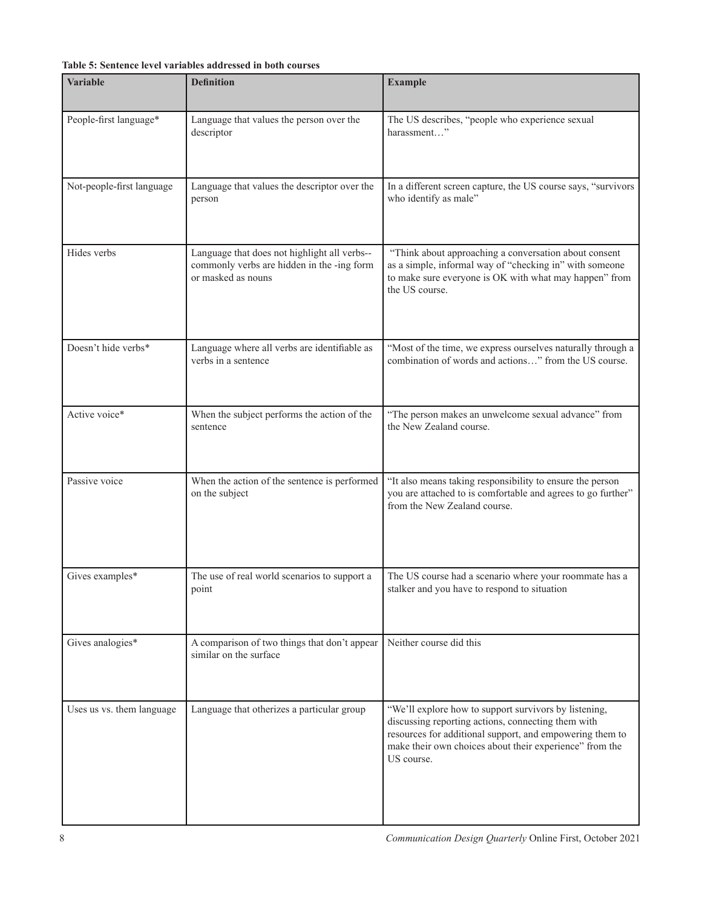## **Table 5: Sentence level variables addressed in both courses**

| <b>Variable</b>           | <b>Definition</b>                                                                                                | <b>Example</b>                                                                                                                                                                                                                                   |
|---------------------------|------------------------------------------------------------------------------------------------------------------|--------------------------------------------------------------------------------------------------------------------------------------------------------------------------------------------------------------------------------------------------|
| People-first language*    | Language that values the person over the<br>descriptor                                                           | The US describes, "people who experience sexual<br>harassment"                                                                                                                                                                                   |
| Not-people-first language | Language that values the descriptor over the<br>person                                                           | In a different screen capture, the US course says, "survivors<br>who identify as male"                                                                                                                                                           |
| Hides verbs               | Language that does not highlight all verbs--<br>commonly verbs are hidden in the -ing form<br>or masked as nouns | "Think about approaching a conversation about consent<br>as a simple, informal way of "checking in" with someone<br>to make sure everyone is OK with what may happen" from<br>the US course.                                                     |
| Doesn't hide verbs*       | Language where all verbs are identifiable as<br>verbs in a sentence                                              | "Most of the time, we express ourselves naturally through a<br>combination of words and actions" from the US course.                                                                                                                             |
| Active voice*             | When the subject performs the action of the<br>sentence                                                          | "The person makes an unwelcome sexual advance" from<br>the New Zealand course.                                                                                                                                                                   |
| Passive voice             | When the action of the sentence is performed<br>on the subject                                                   | "It also means taking responsibility to ensure the person<br>you are attached to is comfortable and agrees to go further"<br>from the New Zealand course.                                                                                        |
| Gives examples*           | The use of real world scenarios to support a<br>point                                                            | The US course had a scenario where your roommate has a<br>stalker and you have to respond to situation                                                                                                                                           |
| Gives analogies*          | A comparison of two things that don't appear<br>similar on the surface                                           | Neither course did this                                                                                                                                                                                                                          |
| Uses us vs. them language | Language that otherizes a particular group                                                                       | "We'll explore how to support survivors by listening,<br>discussing reporting actions, connecting them with<br>resources for additional support, and empowering them to<br>make their own choices about their experience" from the<br>US course. |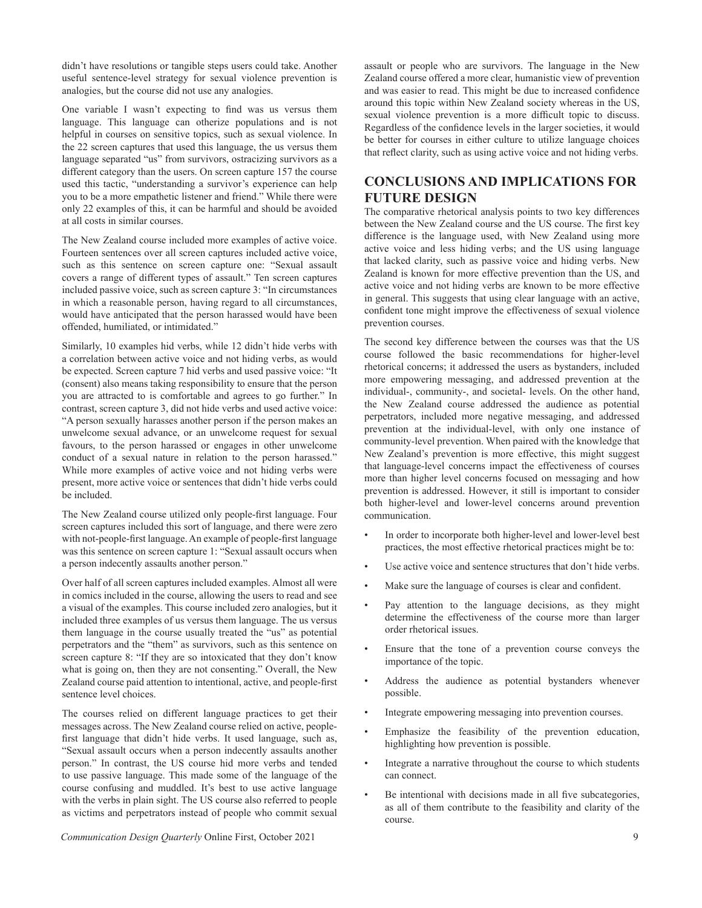didn't have resolutions or tangible steps users could take. Another useful sentence-level strategy for sexual violence prevention is analogies, but the course did not use any analogies.

One variable I wasn't expecting to find was us versus them language. This language can otherize populations and is not helpful in courses on sensitive topics, such as sexual violence. In the 22 screen captures that used this language, the us versus them language separated "us" from survivors, ostracizing survivors as a different category than the users. On screen capture 157 the course used this tactic, "understanding a survivor's experience can help you to be a more empathetic listener and friend." While there were only 22 examples of this, it can be harmful and should be avoided at all costs in similar courses.

The New Zealand course included more examples of active voice. Fourteen sentences over all screen captures included active voice, such as this sentence on screen capture one: "Sexual assault covers a range of different types of assault." Ten screen captures included passive voice, such as screen capture 3: "In circumstances in which a reasonable person, having regard to all circumstances, would have anticipated that the person harassed would have been offended, humiliated, or intimidated."

Similarly, 10 examples hid verbs, while 12 didn't hide verbs with a correlation between active voice and not hiding verbs, as would be expected. Screen capture 7 hid verbs and used passive voice: "It (consent) also means taking responsibility to ensure that the person you are attracted to is comfortable and agrees to go further." In contrast, screen capture 3, did not hide verbs and used active voice: "A person sexually harasses another person if the person makes an unwelcome sexual advance, or an unwelcome request for sexual favours, to the person harassed or engages in other unwelcome conduct of a sexual nature in relation to the person harassed." While more examples of active voice and not hiding verbs were present, more active voice or sentences that didn't hide verbs could be included.

The New Zealand course utilized only people-first language. Four screen captures included this sort of language, and there were zero with not-people-first language. An example of people-first language was this sentence on screen capture 1: "Sexual assault occurs when a person indecently assaults another person."

Over half of all screen captures included examples. Almost all were in comics included in the course, allowing the users to read and see a visual of the examples. This course included zero analogies, but it included three examples of us versus them language. The us versus them language in the course usually treated the "us" as potential perpetrators and the "them" as survivors, such as this sentence on screen capture 8: "If they are so intoxicated that they don't know what is going on, then they are not consenting." Overall, the New Zealand course paid attention to intentional, active, and people-first sentence level choices.

The courses relied on different language practices to get their messages across. The New Zealand course relied on active, peoplefirst language that didn't hide verbs. It used language, such as, "Sexual assault occurs when a person indecently assaults another person." In contrast, the US course hid more verbs and tended to use passive language. This made some of the language of the course confusing and muddled. It's best to use active language with the verbs in plain sight. The US course also referred to people as victims and perpetrators instead of people who commit sexual

*Communication Design Quarterly* Online First, October 2021 9

assault or people who are survivors. The language in the New Zealand course offered a more clear, humanistic view of prevention and was easier to read. This might be due to increased confidence around this topic within New Zealand society whereas in the US, sexual violence prevention is a more difficult topic to discuss. Regardless of the confidence levels in the larger societies, it would be better for courses in either culture to utilize language choices that reflect clarity, such as using active voice and not hiding verbs.

## **CONCLUSIONS AND IMPLICATIONS FOR FUTURE DESIGN**

The comparative rhetorical analysis points to two key differences between the New Zealand course and the US course. The first key difference is the language used, with New Zealand using more active voice and less hiding verbs; and the US using language that lacked clarity, such as passive voice and hiding verbs. New Zealand is known for more effective prevention than the US, and active voice and not hiding verbs are known to be more effective in general. This suggests that using clear language with an active, confident tone might improve the effectiveness of sexual violence prevention courses.

The second key difference between the courses was that the US course followed the basic recommendations for higher-level rhetorical concerns; it addressed the users as bystanders, included more empowering messaging, and addressed prevention at the individual-, community-, and societal- levels. On the other hand, the New Zealand course addressed the audience as potential perpetrators, included more negative messaging, and addressed prevention at the individual-level, with only one instance of community-level prevention. When paired with the knowledge that New Zealand's prevention is more effective, this might suggest that language-level concerns impact the effectiveness of courses more than higher level concerns focused on messaging and how prevention is addressed. However, it still is important to consider both higher-level and lower-level concerns around prevention communication.

- In order to incorporate both higher-level and lower-level best practices, the most effective rhetorical practices might be to:
- Use active voice and sentence structures that don't hide verbs.
- Make sure the language of courses is clear and confident.
- Pay attention to the language decisions, as they might determine the effectiveness of the course more than larger order rhetorical issues.
- Ensure that the tone of a prevention course conveys the importance of the topic.
- Address the audience as potential bystanders whenever possible.
- Integrate empowering messaging into prevention courses.
- Emphasize the feasibility of the prevention education, highlighting how prevention is possible.
- Integrate a narrative throughout the course to which students can connect.
- Be intentional with decisions made in all five subcategories, as all of them contribute to the feasibility and clarity of the course.